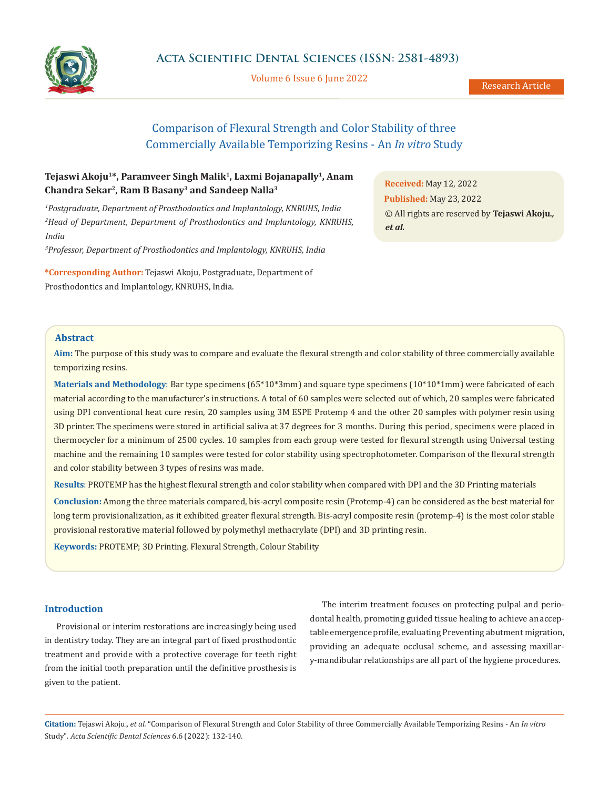

Volume 6 Issue 6 June 2022

Research Article

# Comparison of Flexural Strength and Color Stability of three Commercially Available Temporizing Resins - An *In vitro* Study

### **Tejaswi Akoju1\*, Paramveer Singh Malik1, Laxmi Bojanapally1, Anam Chandra Sekar2, Ram B Basany3 and Sandeep Nalla3**

*1 Postgraduate, Department of Prosthodontics and Implantology, KNRUHS, India 2 Head of Department, Department of Prosthodontics and Implantology, KNRUHS, India*

*3 Professor, Department of Prosthodontics and Implantology, KNRUHS, India*

**\*Corresponding Author:** Tejaswi Akoju, Postgraduate, Department of Prosthodontics and Implantology, KNRUHS, India.

**Received:** May 12, 2022 **Published:** May 23, 2022 © All rights are reserved by **Tejaswi Akoju***., et al.*

### **Abstract**

**Aim:** The purpose of this study was to compare and evaluate the flexural strength and color stability of three commercially available temporizing resins.

**Materials and Methodology**: Bar type specimens (65\*10\*3mm) and square type specimens (10\*10\*1mm) were fabricated of each material according to the manufacturer's instructions. A total of 60 samples were selected out of which, 20 samples were fabricated using DPI conventional heat cure resin, 20 samples using 3M ESPE Protemp 4 and the other 20 samples with polymer resin using 3D printer. The specimens were stored in artificial saliva at 37 degrees for 3 months. During this period, specimens were placed in thermocycler for a minimum of 2500 cycles. 10 samples from each group were tested for flexural strength using Universal testing machine and the remaining 10 samples were tested for color stability using spectrophotometer. Comparison of the flexural strength and color stability between 3 types of resins was made.

**Results**: PROTEMP has the highest flexural strength and color stability when compared with DPI and the 3D Printing materials

**Conclusion:** Among the three materials compared, bis-acryl composite resin (Protemp-4) can be considered as the best material for long term provisionalization, as it exhibited greater flexural strength. Bis-acryl composite resin (protemp-4) is the most color stable provisional restorative material followed by polymethyl methacrylate (DPI) and 3D printing resin.

**Keywords:** PROTEMP; 3D Printing, Flexural Strength, Colour Stability

### **Introduction**

Provisional or interim restorations are increasingly being used in dentistry today. They are an integral part of fixed prosthodontic treatment and provide with a protective coverage for teeth right from the initial tooth preparation until the definitive prosthesis is given to the patient.

The interim treatment focuses on protecting pulpal and periodontal health, promoting guided tissue healing to achieve an acceptable emergence profile, evaluating Preventing abutment migration, providing an adequate occlusal scheme, and assessing maxillary-mandibular relationships are all part of the hygiene procedures.

**Citation:** Tejaswi Akoju.*, et al.* "Comparison of Flexural Strength and Color Stability of three Commercially Available Temporizing Resins - An *In vitro*  Study". *Acta Scientific Dental Sciences* 6.6 (2022): 132-140.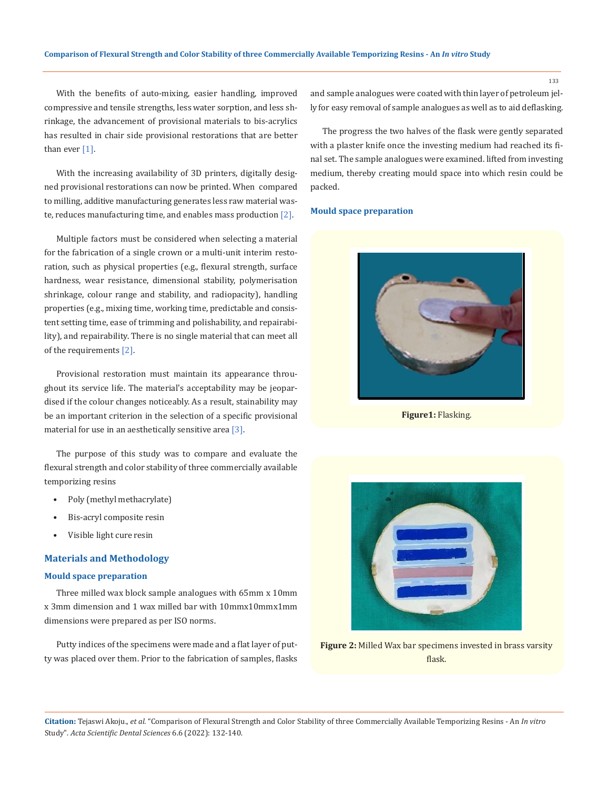With the benefits of auto-mixing, easier handling, improved compressive and tensile strengths, less water sorption, and less shrinkage, the advancement of provisional materials to bis-acrylics has resulted in chair side provisional restorations that are better than ever [1].

With the increasing availability of 3D printers, digitally designed provisional restorations can now be printed. When compared to milling, additive manufacturing generates less raw material waste, reduces manufacturing time, and enables mass production [2].

Multiple factors must be considered when selecting a material for the fabrication of a single crown or a multi-unit interim restoration, such as physical properties (e.g., flexural strength, surface hardness, wear resistance, dimensional stability, polymerisation shrinkage, colour range and stability, and radiopacity), handling properties (e.g., mixing time, working time, predictable and consistent setting time, ease of trimming and polishability, and repairability), and repairability. There is no single material that can meet all of the requirements [2].

Provisional restoration must maintain its appearance throughout its service life. The material's acceptability may be jeopardised if the colour changes noticeably. As a result, stainability may be an important criterion in the selection of a specific provisional material for use in an aesthetically sensitive area [3].

The purpose of this study was to compare and evaluate the flexural strength and color stability of three commercially available temporizing resins

- Poly (methyl methacrylate)
- Bis-acryl composite resin
- Visible light cure resin

### **Materials and Methodology**

### **Mould space preparation**

Three milled wax block sample analogues with 65mm x 10mm x 3mm dimension and 1 wax milled bar with 10mmx10mmx1mm dimensions were prepared as per ISO norms.

Putty indices of the specimens were made and a flat layer of putty was placed over them. Prior to the fabrication of samples, flasks and sample analogues were coated with thin layer of petroleum jelly for easy removal of sample analogues as well as to aid deflasking.

The progress the two halves of the flask were gently separated with a plaster knife once the investing medium had reached its final set. The sample analogues were examined. lifted from investing medium, thereby creating mould space into which resin could be packed.

#### **Mould space preparation**



**Figure1:** Flasking.



**Figure 2:** Milled Wax bar specimens invested in brass varsity flask.

**Citation:** Tejaswi Akoju.*, et al.* "Comparison of Flexural Strength and Color Stability of three Commercially Available Temporizing Resins - An *In vitro*  Study". *Acta Scientific Dental Sciences* 6.6 (2022): 132-140.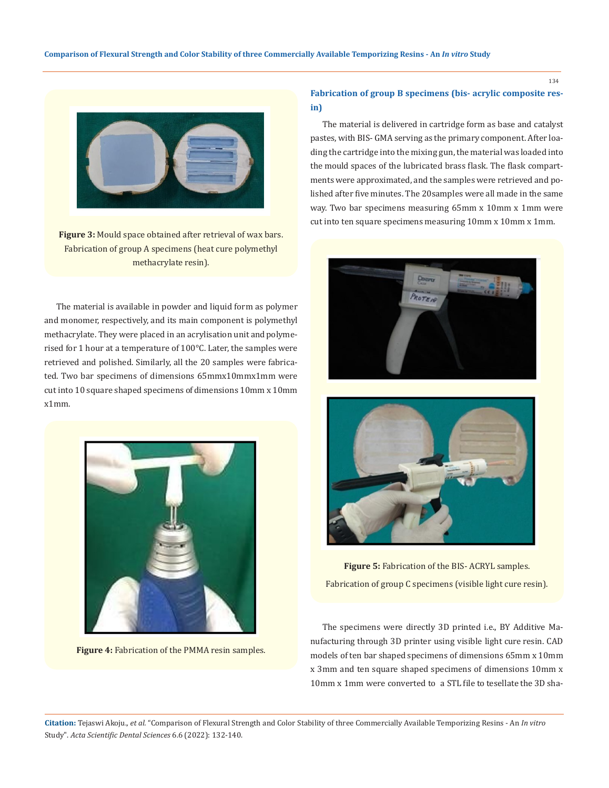

**Figure 3:** Mould space obtained after retrieval of wax bars. Fabrication of group A specimens (heat cure polymethyl methacrylate resin).

The material is available in powder and liquid form as polymer and monomer, respectively, and its main component is polymethyl methacrylate. They were placed in an acrylisation unit and polymerised for 1 hour at a temperature of 100°C. Later, the samples were retrieved and polished. Similarly, all the 20 samples were fabricated. Two bar specimens of dimensions 65mmx10mmx1mm were cut into 10 square shaped specimens of dimensions 10mm x 10mm x1mm.



**Figure 4:** Fabrication of the PMMA resin samples.

### **Fabrication of group B specimens (bis- acrylic composite resin)**

The material is delivered in cartridge form as base and catalyst pastes, with BIS- GMA serving as the primary component. After loading the cartridge into the mixing gun, the material was loaded into the mould spaces of the lubricated brass flask. The flask compartments were approximated, and the samples were retrieved and polished after five minutes. The 20 samples were all made in the same way. Two bar specimens measuring 65mm x 10mm x 1mm were cut into ten square specimens measuring 10mm x 10mm x 1mm.





**Figure 5:** Fabrication of the BIS- ACRYL samples. Fabrication of group C specimens (visible light cure resin).

The specimens were directly 3D printed i.e., BY Additive Manufacturing through 3D printer using visible light cure resin. CAD models of ten bar shaped specimens of dimensions 65mm x 10mm x 3mm and ten square shaped specimens of dimensions 10mm x 10mm x 1mm were converted to a STL file to tesellate the 3D sha-

**Citation:** Tejaswi Akoju.*, et al.* "Comparison of Flexural Strength and Color Stability of three Commercially Available Temporizing Resins - An *In vitro*  Study". *Acta Scientific Dental Sciences* 6.6 (2022): 132-140.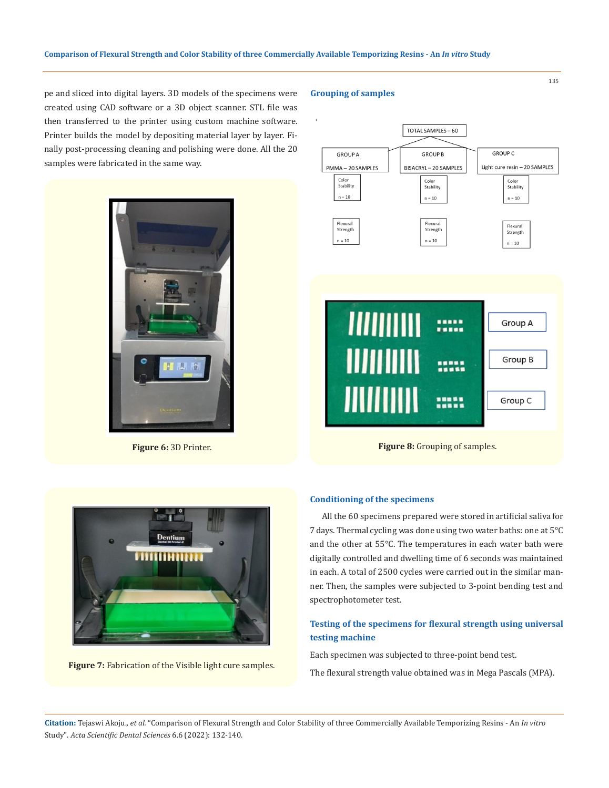pe and sliced into digital layers. 3D models of the specimens were created using CAD software or a 3D object scanner. STL file was then transferred to the printer using custom machine software. Printer builds the model by depositing material layer by layer. Finally post-processing cleaning and polishing were done. All the 20 samples were fabricated in the same way.



**Figure 6:** 3D Printer.

### **Grouping of samples**





**Figure 7:** Fabrication of the Visible light cure samples.

#### **Conditioning of the specimens**

All the 60 specimens prepared were stored in artificial saliva for 7 days. Thermal cycling was done using two water baths: one at 5°C and the other at 55°C. The temperatures in each water bath were digitally controlled and dwelling time of 6 seconds was maintained in each. A total of 2500 cycles were carried out in the similar manner. Then, the samples were subjected to 3-point bending test and spectrophotometer test.

### **Testing of the specimens for flexural strength using universal testing machine**

Each specimen was subjected to three-point bend test.

The flexural strength value obtained was in Mega Pascals (MPA).

**Citation:** Tejaswi Akoju.*, et al.* "Comparison of Flexural Strength and Color Stability of three Commercially Available Temporizing Resins - An *In vitro*  Study". *Acta Scientific Dental Sciences* 6.6 (2022): 132-140.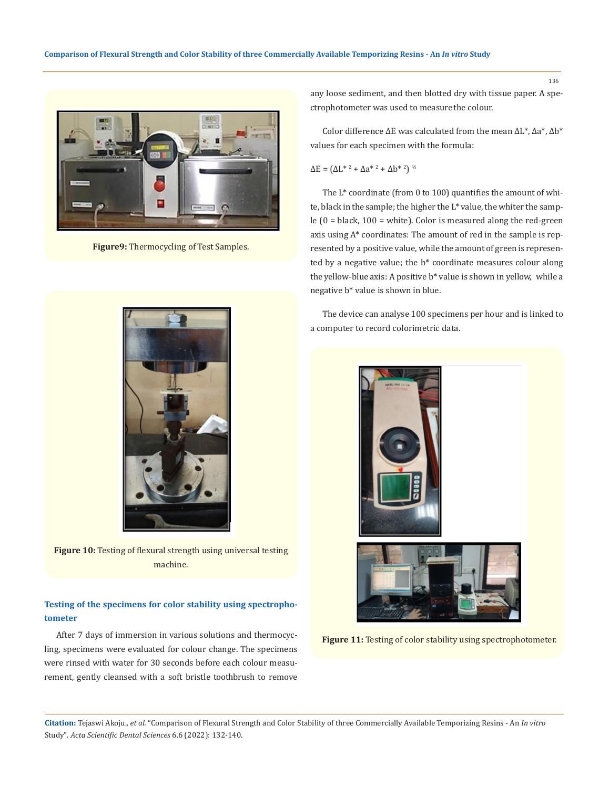

**Figure9:** Thermocycling of Test Samples.



**Figure 10:** Testing of flexural strength using universal testing machine.

### **Testing of the specimens for color stability using spectrophotometer**

After 7 days of immersion in various solutions and thermocycling, specimens were evaluated for colour change. The specimens were rinsed with water for 30 seconds before each colour measurement, gently cleansed with a soft bristle toothbrush to remove any loose sediment, and then blotted dry with tissue paper. A spectrophotometer was used to measure the colour.

Color difference ΔE was calculated from the mean ΔL\*, Δa\*, Δb\* values for each specimen with the formula:

$$
\Delta E = (\Delta L^{*2} + \Delta a^{*2} + \Delta b^{*2})^{\frac{1}{2}}
$$

The L\* coordinate (from 0 to 100) quantifies the amount of white, black in the sample; the higher the L\* value, the whiter the sample  $(0 = black, 100 = white)$ . Color is measured along the red-green axis using A\* coordinates: The amount of red in the sample is represented by a positive value, while the amount of green is represented by a negative value; the b\* coordinate measures colour along the yellow-blue axis: A positive b\* value is shown in yellow, while a negative b\* value is shown in blue.

The device can analyse 100 specimens per hour and is linked to a computer to record colorimetric data.



**Figure 11:** Testing of color stability using spectrophotometer.

**Citation:** Tejaswi Akoju.*, et al.* "Comparison of Flexural Strength and Color Stability of three Commercially Available Temporizing Resins - An *In vitro*  Study". *Acta Scientific Dental Sciences* 6.6 (2022): 132-140.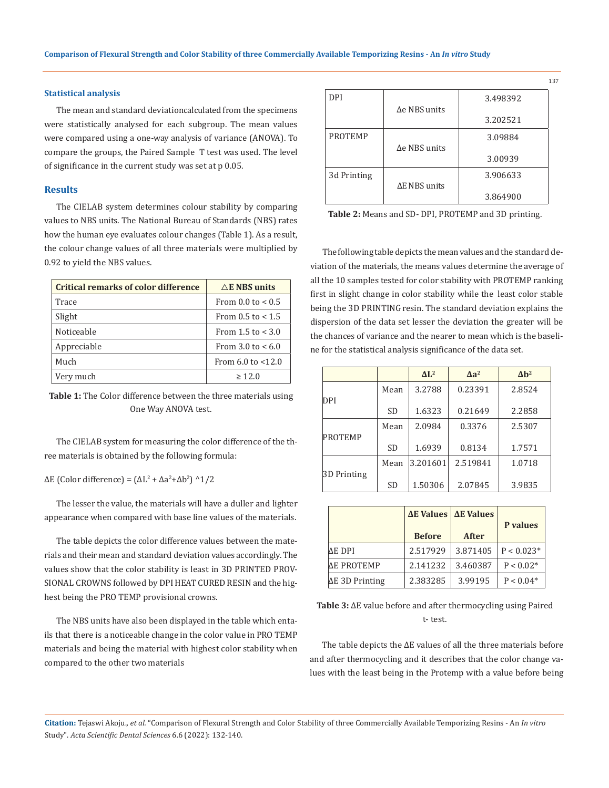### **Statistical analysis**

The mean and standard deviation calculated from the specimens were statistically analysed for each subgroup. The mean values were compared using a one-way analysis of variance (ANOVA). To compare the groups, the Paired Sample T test was used. The level of significance in the current study was set at p 0.05.

#### **Results**

The CIELAB system determines colour stability by comparing values to NBS units. The National Bureau of Standards (NBS) rates how the human eye evaluates colour changes (Table 1). As a result, the colour change values of all three materials were multiplied by 0.92 to yield the NBS values.

| <b>Critical remarks of color difference</b> | $\triangle$ E NBS units    |
|---------------------------------------------|----------------------------|
| Trace                                       | From 0.0 to $< 0.5$        |
| Slight                                      | From $0.5$ to $< 1.5$      |
| Noticeable                                  | From $1.5$ to $< 3.0$      |
| Appreciable                                 | From $3.0 \text{ to } 6.0$ |
| Much                                        | From $6.0$ to $< 12.0$     |
| Very much                                   | >12.0                      |

**Table 1:** The Color difference between the three materials using One Way ANOVA test.

The CIELAB system for measuring the color difference of the three materials is obtained by the following formula:

 $\Delta E$  (Color difference) = ( $\Delta L^2 + \Delta a^2 + \Delta b^2$ ) ^1/2

The lesser the value, the materials will have a duller and lighter appearance when compared with base line values of the materials.

The table depicts the color difference values between the materials and their mean and standard deviation values accordingly. The values show that the color stability is least in 3D PRINTED PROV-SIONAL CROWNS followed by DPI HEAT CURED RESIN and the highest being the PRO TEMP provisional crowns.

The NBS units have also been displayed in the table which entails that there is a noticeable change in the color value in PRO TEMP materials and being the material with highest color stability when compared to the other two materials

| <b>DPI</b>     |                      | 3.498392 |
|----------------|----------------------|----------|
|                | $\Delta$ e NBS units | 3.202521 |
| <b>PROTEMP</b> |                      | 3.09884  |
|                | $\Delta$ e NBS units |          |
|                |                      | 3.00939  |
| 3d Printing    |                      | 3.906633 |
|                | ΔE NBS units         |          |
|                |                      | 3.864900 |

**Table 2:** Means and SD- DPI, PROTEMP and 3D printing.

The following table depicts the mean values and the standard deviation of the materials, the means values determine the average of all the 10 samples tested for color stability with PROTEMP ranking first in slight change in color stability while the least color stable being the 3D PRINTING resin. The standard deviation explains the dispersion of the data set lesser the deviation the greater will be the chances of variance and the nearer to mean which is the baseline for the statistical analysis significance of the data set.

|                |           | $\Delta L^2$ | $\Delta a^2$ | $\Delta h^2$ |
|----------------|-----------|--------------|--------------|--------------|
|                | Mean      | 3.2788       | 0.23391      | 2.8524       |
| DPI            |           |              |              |              |
|                | <b>SD</b> | 1.6323       | 0.21649      | 2.2858       |
|                | Mean      | 2.0984       | 0.3376       | 2.5307       |
| <b>PROTEMP</b> |           |              |              |              |
|                | <b>SD</b> | 1.6939       | 0.8134       | 1.7571       |
|                | Mean      | 3.201601     | 2.519841     | 1.0718       |
| 3D Printing    |           |              |              |              |
|                | <b>SD</b> | 1.50306      | 2.07845      | 3.9835       |

|                        |               | <b>ΔE Values   ΔE Values</b> | P values     |  |
|------------------------|---------------|------------------------------|--------------|--|
|                        | <b>Before</b> | <b>After</b>                 |              |  |
| ΔE DPI                 | 2.517929      | 3.871405                     | $P < 0.023*$ |  |
| <b>ΔΕ PROTEMP</b>      | 2.141232      | 3.460387                     | $P < 0.02*$  |  |
| $\Delta E$ 3D Printing | 2.383285      | 3.99195                      | $P < 0.04*$  |  |

**Table 3:** ∆E value before and after thermocycling using Paired t- test.

The table depicts the ∆E values of all the three materials before and after thermocycling and it describes that the color change values with the least being in the Protemp with a value before being

**Citation:** Tejaswi Akoju.*, et al.* "Comparison of Flexural Strength and Color Stability of three Commercially Available Temporizing Resins - An *In vitro*  Study". *Acta Scientific Dental Sciences* 6.6 (2022): 132-140.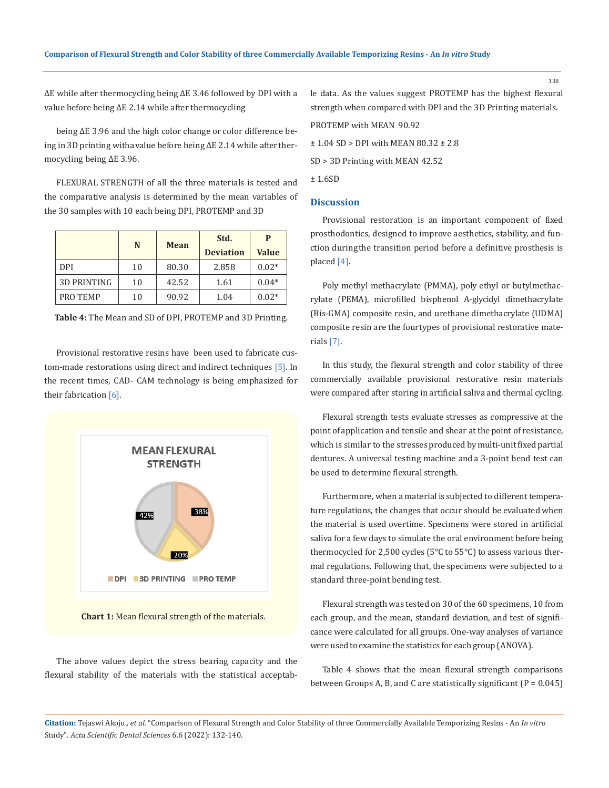∆E while after thermocycling being ∆E 3.46 followed by DPI with a value before being ∆E 2.14 while after thermocycling

being ∆E 3.96 and the high color change or color difference being in 3D printing with a value before being ∆E 2.14 while after thermocycling being ∆E 3.96.

FLEXURAL STRENGTH of all the three materials is tested and the comparative analysis is determined by the mean variables of the 30 samples with 10 each being DPI, PROTEMP and 3D

|                    | N  | Mean  | Std.             | P            |
|--------------------|----|-------|------------------|--------------|
|                    |    |       | <b>Deviation</b> | <b>Value</b> |
| DPI                | 10 | 80.30 | 2.858            | $0.02*$      |
| <b>3D PRINTING</b> | 10 | 42.52 | 1.61             | $0.04*$      |
| PRO TEMP           | 10 | 90.92 | 1.04             | $0.02*$      |

**Table 4:** The Mean and SD of DPI, PROTEMP and 3D Printing.

Provisional restorative resins have been used to fabricate custom-made restorations using direct and indirect techniques [5]. In the recent times, CAD- CAM technology is being emphasized for their fabrication [6].





The above values depict the stress bearing capacity and the flexural stability of the materials with the statistical acceptable data. As the values suggest PROTEMP has the highest flexural strength when compared with DPI and the 3D Printing materials.

PROTEMP with MEAN 90.92

± 1.04 SD > DPI with MEAN 80.32 ± 2.8

SD > 3D Printing with MEAN 42.52

± 1.6SD

### **Discussion**

Provisional restoration is an important component of fixed prosthodontics, designed to improve aesthetics, stability, and function during the transition period before a definitive prosthesis is placed [4].

Poly methyl methacrylate (PMMA), poly ethyl or butylmethacrylate (PEMA), microfilled bisphenol A-glycidyl dimethacrylate (Bis-GMA) composite resin, and urethane dimethacrylate (UDMA) composite resin are the fourtypes of provisional restorative materials [7].

In this study, the flexural strength and color stability of three commercially available provisional restorative resin materials were compared after storing in artificial saliva and thermal cycling.

Flexural strength tests evaluate stresses as compressive at the point of application and tensile and shear at the point of resistance, which is similar to the stresses produced by multi-unit fixed partial dentures. A universal testing machine and a 3-point bend test can be used to determine flexural strength.

Furthermore, when a material is subjected to different temperature regulations, the changes that occur should be evaluated when the material is used overtime. Specimens were stored in artificial saliva for a few days to simulate the oral environment before being thermocycled for 2,500 cycles (5°C to 55°C) to assess various thermal regulations. Following that, the specimens were subjected to a standard three-point bending test.

Flexural strength was tested on 30 of the 60 specimens, 10 from each group, and the mean, standard deviation, and test of significance were calculated for all groups. One-way analyses of variance were used to examine the statistics for each group (ANOVA).

Table 4 shows that the mean flexural strength comparisons between Groups A, B, and C are statistically significant  $(P = 0.045)$ 

**Citation:** Tejaswi Akoju.*, et al.* "Comparison of Flexural Strength and Color Stability of three Commercially Available Temporizing Resins - An *In vitro*  Study". *Acta Scientific Dental Sciences* 6.6 (2022): 132-140.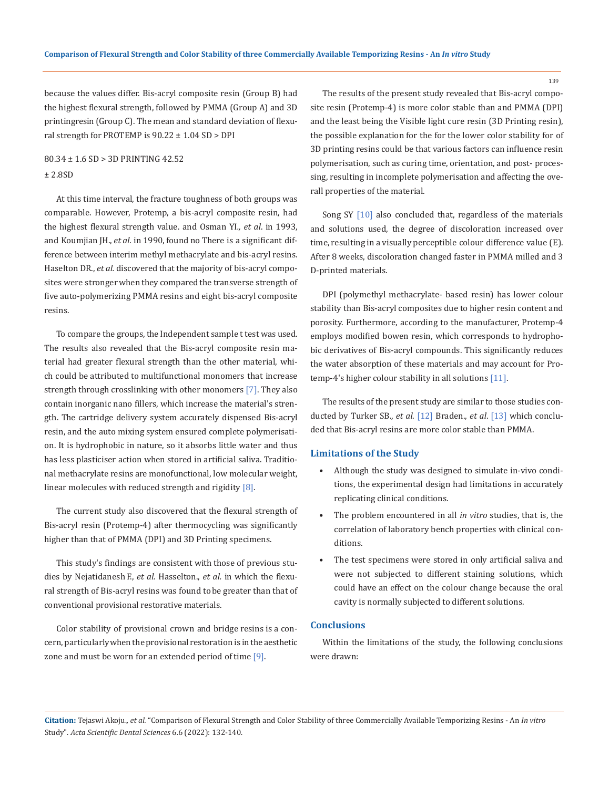because the values differ. Bis-acryl composite resin (Group B) had the highest flexural strength, followed by PMMA (Group A) and 3D printingresin (Group C). The mean and standard deviation of flexural strength for PROTEMP is  $90.22 \pm 1.04$  SD > DPI

## 80.34 ± 1.6 SD > 3D PRINTING 42.52 ± 2.8SD

At this time interval, the fracture toughness of both groups was comparable. However, Protemp, a bis-acryl composite resin, had the highest flexural strength value. and Osman YI*., et al*. in 1993, and Koumjian JH., *et al.* in 1990, found no There is a significant difference between interim methyl methacrylate and bis-acryl resins. Haselton DR., *et al.* discovered that the majority of bis-acryl composites were stronger when they compared the transverse strength of five auto-polymerizing PMMA resins and eight bis-acryl composite resins.

To compare the groups, the Independent sample t test was used. The results also revealed that the Bis-acryl composite resin material had greater flexural strength than the other material, which could be attributed to multifunctional monomers that increase strength through crosslinking with other monomers [7]. They also contain inorganic nano fillers, which increase the material's strength. The cartridge delivery system accurately dispensed Bis-acryl resin, and the auto mixing system ensured complete polymerisation. It is hydrophobic in nature, so it absorbs little water and thus has less plasticiser action when stored in artificial saliva. Traditional methacrylate resins are monofunctional, low molecular weight, linear molecules with reduced strength and rigidity [8].

The current study also discovered that the flexural strength of Bis-acryl resin (Protemp-4) after thermocycling was significantly higher than that of PMMA (DPI) and 3D Printing specimens.

This study's findings are consistent with those of previous studies by Nejatidanesh F., *et al.* Hasselton., *et al.* in which the flexural strength of Bis-acryl resins was found to be greater than that of conventional provisional restorative materials.

Color stability of provisional crown and bridge resins is a concern, particularly when the provisional restoration is in the aesthetic zone and must be worn for an extended period of time [9].

The results of the present study revealed that Bis-acryl composite resin (Protemp-4) is more color stable than and PMMA (DPI) and the least being the Visible light cure resin (3D Printing resin), the possible explanation for the for the lower color stability for of 3D printing resins could be that various factors can influence resin polymerisation, such as curing time, orientation, and post- processing, resulting in incomplete polymerisation and affecting the overall properties of the material.

Song SY [10] also concluded that, regardless of the materials and solutions used, the degree of discoloration increased over time, resulting in a visually perceptible colour difference value (E). After 8 weeks, discoloration changed faster in PMMA milled and 3 D-printed materials.

DPI (polymethyl methacrylate- based resin) has lower colour stability than Bis-acryl composites due to higher resin content and porosity. Furthermore, according to the manufacturer, Protemp-4 employs modified bowen resin, which corresponds to hydrophobic derivatives of Bis-acryl compounds. This significantly reduces the water absorption of these materials and may account for Protemp-4's higher colour stability in all solutions [11].

The results of the present study are similar to those studies conducted by Turker SB., *et al*. [12] Braden., *et al*. [13] which concluded that Bis-acryl resins are more color stable than PMMA.

### **Limitations of the Study**

- Although the study was designed to simulate in-vivo conditions, the experimental design had limitations in accurately replicating clinical conditions.
- The problem encountered in all *in vitro* studies, that is, the correlation of laboratory bench properties with clinical conditions.
- The test specimens were stored in only artificial saliva and were not subjected to different staining solutions, which could have an effect on the colour change because the oral cavity is normally subjected to different solutions.

### **Conclusions**

Within the limitations of the study, the following conclusions were drawn:

**Citation:** Tejaswi Akoju.*, et al.* "Comparison of Flexural Strength and Color Stability of three Commercially Available Temporizing Resins - An *In vitro*  Study". *Acta Scientific Dental Sciences* 6.6 (2022): 132-140.